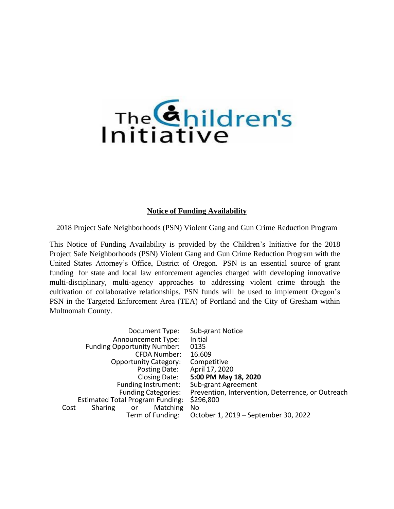# The *Children's*

#### **Notice of Funding Availability**

2018 Project Safe Neighborhoods (PSN) Violent Gang and Gun Crime Reduction Program

This Notice of Funding Availability is provided by the Children's Initiative for the 2018 Project Safe Neighborhoods (PSN) Violent Gang and Gun Crime Reduction Program with the United States Attorney's Office, District of Oregon. PSN is an essential source of grant funding for state and local law enforcement agencies charged with developing innovative multi-disciplinary, multi-agency approaches to addressing violent crime through the cultivation of collaborative relationships. PSN funds will be used to implement Oregon's PSN in the Targeted Enforcement Area (TEA) of Portland and the City of Gresham within Multnomah County.

|                                    | Document Type:                          | Sub-grant Notice                                  |
|------------------------------------|-----------------------------------------|---------------------------------------------------|
| Announcement Type:                 |                                         | Initial                                           |
| <b>Funding Opportunity Number:</b> |                                         | 0135                                              |
| CFDA Number:                       |                                         | 16.609                                            |
| <b>Opportunity Category:</b>       |                                         | Competitive                                       |
| Posting Date:                      |                                         | April 17, 2020                                    |
| Closing Date:                      |                                         | 5:00 PM May 18, 2020                              |
|                                    | Funding Instrument:                     | Sub-grant Agreement                               |
|                                    | <b>Funding Categories:</b>              | Prevention, Intervention, Deterrence, or Outreach |
|                                    | <b>Estimated Total Program Funding:</b> | \$296,800                                         |
| Cost<br><b>Sharing</b>             | <b>Matching</b><br>or                   | No.                                               |
|                                    | Term of Funding:                        | October 1, 2019 – September 30, 2022              |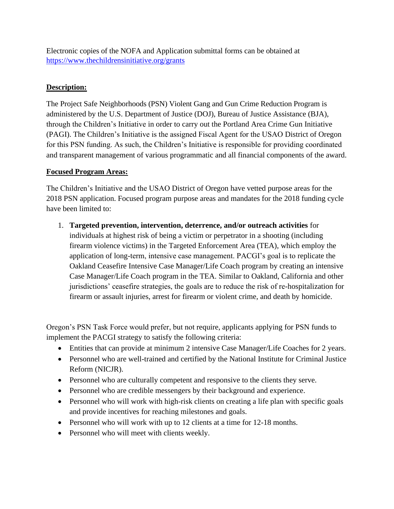Electronic copies of the NOFA and Application submittal forms can be obtained at <https://www.thechildrensinitiative.org/grants>

# **Description:**

The Project Safe Neighborhoods (PSN) Violent Gang and Gun Crime Reduction Program is administered by the U.S. Department of Justice (DOJ), Bureau of Justice Assistance (BJA), through the Children's Initiative in order to carry out the Portland Area Crime Gun Initiative (PAGI). The Children's Initiative is the assigned Fiscal Agent for the USAO District of Oregon for this PSN funding. As such, the Children's Initiative is responsible for providing coordinated and transparent management of various programmatic and all financial components of the award.

#### **Focused Program Areas:**

The Children's Initiative and the USAO District of Oregon have vetted purpose areas for the 2018 PSN application. Focused program purpose areas and mandates for the 2018 funding cycle have been limited to:

1. **Targeted prevention, intervention, deterrence, and/or outreach activities** for individuals at highest risk of being a victim or perpetrator in a shooting (including firearm violence victims) in the Targeted Enforcement Area (TEA), which employ the application of long-term, intensive case management. PACGI's goal is to replicate the Oakland Ceasefire Intensive Case Manager/Life Coach program by creating an intensive Case Manager/Life Coach program in the TEA. Similar to Oakland, California and other jurisdictions' ceasefire strategies, the goals are to reduce the risk of re-hospitalization for firearm or assault injuries, arrest for firearm or violent crime, and death by homicide.

Oregon's PSN Task Force would prefer, but not require, applicants applying for PSN funds to implement the PACGI strategy to satisfy the following criteria:

- Entities that can provide at minimum 2 intensive Case Manager/Life Coaches for 2 years.
- Personnel who are well-trained and certified by the National Institute for Criminal Justice Reform (NICJR).
- Personnel who are culturally competent and responsive to the clients they serve.
- Personnel who are credible messengers by their background and experience.
- Personnel who will work with high-risk clients on creating a life plan with specific goals and provide incentives for reaching milestones and goals.
- Personnel who will work with up to 12 clients at a time for 12-18 months.
- Personnel who will meet with clients weekly.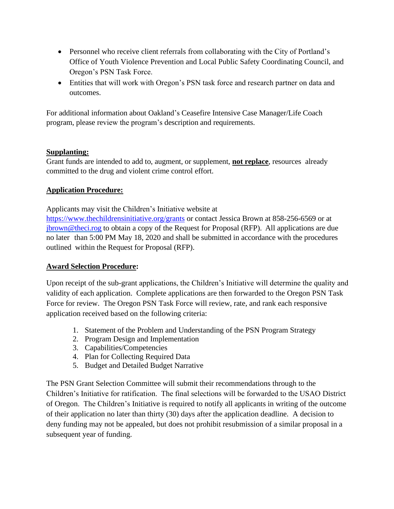- Personnel who receive client referrals from collaborating with the City of Portland's Office of Youth Violence Prevention and Local Public Safety Coordinating Council, and Oregon's PSN Task Force.
- Entities that will work with Oregon's PSN task force and research partner on data and outcomes.

For additional information about Oakland's Ceasefire Intensive Case Manager/Life Coach program, please review the program's description and requirements.

## **Supplanting:**

Grant funds are intended to add to, augment, or supplement, **not replace**, resources already committed to the drug and violent crime control effort.

## **Application Procedure:**

Applicants may visit the Children's Initiative website at

<https://www.thechildrensinitiative.org/grants> or contact Jessica Brown at 858-256-6569 or at [jbrown@theci.rog](mailto:jbrown@theci.rog) to obtain a copy of the Request for Proposal (RFP). All applications are due no later than 5:00 PM May 18, 2020 and shall be submitted in accordance with the procedures outlined within the Request for Proposal (RFP).

# **Award Selection Procedure:**

Upon receipt of the sub-grant applications, the Children's Initiative will determine the quality and validity of each application. Complete applications are then forwarded to the Oregon PSN Task Force for review. The Oregon PSN Task Force will review, rate, and rank each responsive application received based on the following criteria:

- 1. Statement of the Problem and Understanding of the PSN Program Strategy
- 2. Program Design and Implementation
- 3. Capabilities/Competencies
- 4. Plan for Collecting Required Data
- 5. Budget and Detailed Budget Narrative

The PSN Grant Selection Committee will submit their recommendations through to the Children's Initiative for ratification. The final selections will be forwarded to the USAO District of Oregon. The Children's Initiative is required to notify all applicants in writing of the outcome of their application no later than thirty (30) days after the application deadline. A decision to deny funding may not be appealed, but does not prohibit resubmission of a similar proposal in a subsequent year of funding.